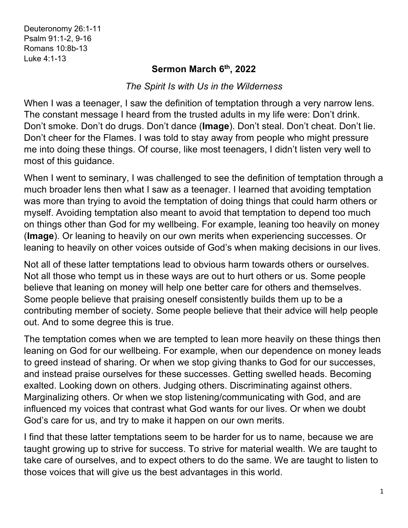## **Sermon March 6th, 2022**

## *The Spirit Is with Us in the Wilderness*

When I was a teenager, I saw the definition of temptation through a very narrow lens. The constant message I heard from the trusted adults in my life were: Don't drink. Don't smoke. Don't do drugs. Don't dance (**Image**). Don't steal. Don't cheat. Don't lie. Don't cheer for the Flames. I was told to stay away from people who might pressure me into doing these things. Of course, like most teenagers, I didn't listen very well to most of this guidance.

When I went to seminary, I was challenged to see the definition of temptation through a much broader lens then what I saw as a teenager. I learned that avoiding temptation was more than trying to avoid the temptation of doing things that could harm others or myself. Avoiding temptation also meant to avoid that temptation to depend too much on things other than God for my wellbeing. For example, leaning too heavily on money (**Image**). Or leaning to heavily on our own merits when experiencing successes. Or leaning to heavily on other voices outside of God's when making decisions in our lives.

Not all of these latter temptations lead to obvious harm towards others or ourselves. Not all those who tempt us in these ways are out to hurt others or us. Some people believe that leaning on money will help one better care for others and themselves. Some people believe that praising oneself consistently builds them up to be a contributing member of society. Some people believe that their advice will help people out. And to some degree this is true.

The temptation comes when we are tempted to lean more heavily on these things then leaning on God for our wellbeing. For example, when our dependence on money leads to greed instead of sharing. Or when we stop giving thanks to God for our successes, and instead praise ourselves for these successes. Getting swelled heads. Becoming exalted. Looking down on others. Judging others. Discriminating against others. Marginalizing others. Or when we stop listening/communicating with God, and are influenced my voices that contrast what God wants for our lives. Or when we doubt God's care for us, and try to make it happen on our own merits.

I find that these latter temptations seem to be harder for us to name, because we are taught growing up to strive for success. To strive for material wealth. We are taught to take care of ourselves, and to expect others to do the same. We are taught to listen to those voices that will give us the best advantages in this world.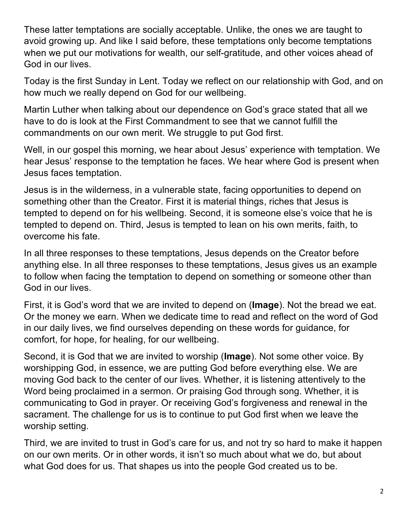These latter temptations are socially acceptable. Unlike, the ones we are taught to avoid growing up. And like I said before, these temptations only become temptations when we put our motivations for wealth, our self-gratitude, and other voices ahead of God in our lives.

Today is the first Sunday in Lent. Today we reflect on our relationship with God, and on how much we really depend on God for our wellbeing.

Martin Luther when talking about our dependence on God's grace stated that all we have to do is look at the First Commandment to see that we cannot fulfill the commandments on our own merit. We struggle to put God first.

Well, in our gospel this morning, we hear about Jesus' experience with temptation. We hear Jesus' response to the temptation he faces. We hear where God is present when Jesus faces temptation.

Jesus is in the wilderness, in a vulnerable state, facing opportunities to depend on something other than the Creator. First it is material things, riches that Jesus is tempted to depend on for his wellbeing. Second, it is someone else's voice that he is tempted to depend on. Third, Jesus is tempted to lean on his own merits, faith, to overcome his fate.

In all three responses to these temptations, Jesus depends on the Creator before anything else. In all three responses to these temptations, Jesus gives us an example to follow when facing the temptation to depend on something or someone other than God in our lives.

First, it is God's word that we are invited to depend on (**Image**). Not the bread we eat. Or the money we earn. When we dedicate time to read and reflect on the word of God in our daily lives, we find ourselves depending on these words for guidance, for comfort, for hope, for healing, for our wellbeing.

Second, it is God that we are invited to worship (**Image**). Not some other voice. By worshipping God, in essence, we are putting God before everything else. We are moving God back to the center of our lives. Whether, it is listening attentively to the Word being proclaimed in a sermon. Or praising God through song. Whether, it is communicating to God in prayer. Or receiving God's forgiveness and renewal in the sacrament. The challenge for us is to continue to put God first when we leave the worship setting.

Third, we are invited to trust in God's care for us, and not try so hard to make it happen on our own merits. Or in other words, it isn't so much about what we do, but about what God does for us. That shapes us into the people God created us to be.